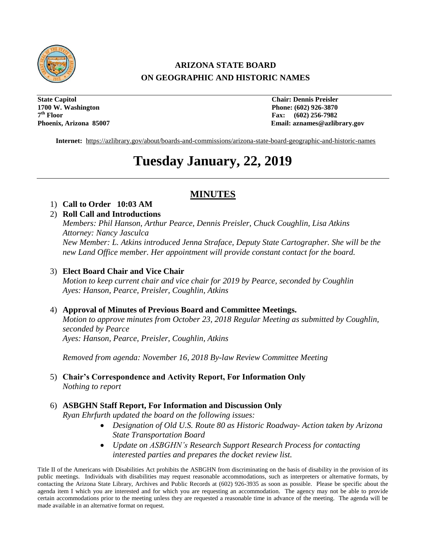

# **ARIZONA STATE BOARD ON GEOGRAPHIC AND HISTORIC NAMES**

**State Capitol Chair: Dennis Preisler 1700 W. Washington Phone: (602) 926-3870** 7<sup>th</sup> Floor

**Fax:** (602) 256-7982 **Phoenix, Arizona 85007 Email: aznames@azlibrary.gov**

**Internet:** <https://azlibrary.gov/about/boards-and-commissions/arizona-state-board-geographic-and-historic-names>

# **Tuesday January, 22, 2019**

# **MINUTES**

## 1) **Call to Order 10:03 AM**

2) **Roll Call and Introductions**  *Members: Phil Hanson, Arthur Pearce, Dennis Preisler, Chuck Coughlin, Lisa Atkins Attorney: Nancy Jasculca New Member: L. Atkins introduced Jenna Straface, Deputy State Cartographer. She will be the new Land Office member. Her appointment will provide constant contact for the board.*

## 3) **Elect Board Chair and Vice Chair**

*Motion to keep current chair and vice chair for 2019 by Pearce, seconded by Coughlin Ayes: Hanson, Pearce, Preisler, Coughlin, Atkins*

#### 4) **Approval of Minutes of Previous Board and Committee Meetings.**

*Motion to approve minutes from October 23, 2018 Regular Meeting as submitted by Coughlin, seconded by Pearce Ayes: Hanson, Pearce, Preisler, Coughlin, Atkins*

*Removed from agenda: November 16, 2018 By-law Review Committee Meeting*

5) **Chair's Correspondence and Activity Report, For Information Only**  *Nothing to report*

#### 6) **ASBGHN Staff Report, For Information and Discussion Only**

*Ryan Ehrfurth updated the board on the following issues:*

- *Designation of Old U.S. Route 80 as Historic Roadway- Action taken by Arizona State Transportation Board*
- *Update on ASBGHN's Research Support Research Process for contacting interested parties and prepares the docket review list.*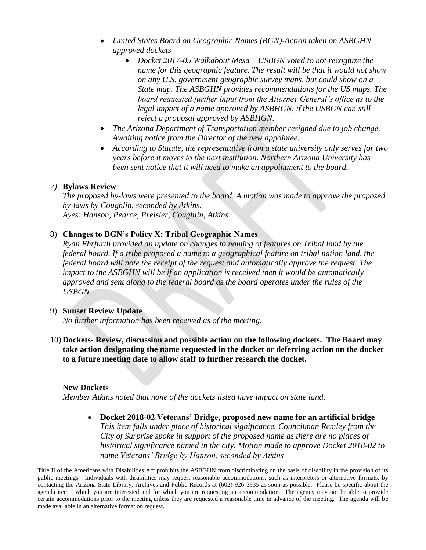- *United States Board on Geographic Names (BGN)-Action taken on ASBGHN approved dockets*
	- *Docket 2017-05 Walkabout Mesa – USBGN voted to not recognize the name for this geographic feature. The result will be that it would not show on any U.S. government geographic survey maps, but could show on a State map. The ASBGHN provides recommendations for the US maps. The board requested further input from the Attorney General's office as to the*  legal impact of a name approved by ASBHGN, if the USBGN can still *reject a proposal approved by ASBHGN.*
- *The Arizona Department of Transportation member resigned due to job change. Awaiting notice from the Director of the new appointee.*
- *According to Statute, the representative from a state university only serves for two years before it moves to the next institution. Northern Arizona University has been sent notice that it will need to make an appointment to the board.*

#### *7)* **Bylaws Review**

*The proposed by-laws were presented to the board. A motion was made to approve the proposed by-laws by Coughlin, seconded by Atkins. Ayes: Hanson, Pearce, Preisler, Coughlin, Atkins*

## 8) **Changes to BGN's Policy X: Tribal Geographic Names**

*Ryan Ehrfurth provided an update on changes to naming of features on Tribal land by the federal board. If a tribe proposed a name to a geographical feature on tribal nation land, the federal board will note the receipt of the request and automatically approve the request. The impact to the ASBGHN will be if an application is received then it would be automatically approved and sent along to the federal board as the board operates under the rules of the USBGN.* 

#### 9) **Sunset Review Update**

*No further information has been received as of the meeting.*

10) **Dockets- Review, discussion and possible action on the following dockets. The Board may take action designating the name requested in the docket or deferring action on the docket to a future meeting date to allow staff to further research the docket.**

#### **New Dockets**

*Member Atkins noted that none of the dockets listed have impact on state land.*

 **Docket 2018-02 Veterans' Bridge, proposed new name for an artificial bridge** *This item falls under place of historical significance. Councilman Remley from the City of Surprise spoke in support of the proposed name as there are no places of historical significance named in the city. Motion made to approve Docket 2018-02 to name Veterans' Bridge by Hanson, seconded by Atkins*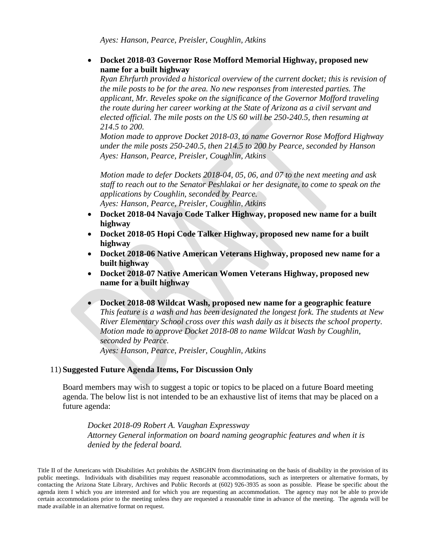*Ayes: Hanson, Pearce, Preisler, Coughlin, Atkins*

 **Docket 2018-03 Governor Rose Mofford Memorial Highway, proposed new name for a built highway**

*Ryan Ehrfurth provided a historical overview of the current docket; this is revision of the mile posts to be for the area. No new responses from interested parties. The applicant, Mr. Reveles spoke on the significance of the Governor Mofford traveling the route during her career working at the State of Arizona as a civil servant and elected official. The mile posts on the US 60 will be 250-240.5, then resuming at 214.5 to 200.*

*Motion made to approve Docket 2018-03, to name Governor Rose Mofford Highway under the mile posts 250-240.5, then 214.5 to 200 by Pearce, seconded by Hanson Ayes: Hanson, Pearce, Preisler, Coughlin, Atkins*

*Motion made to defer Dockets 2018-04, 05, 06, and 07 to the next meeting and ask staff to reach out to the Senator Peshlakai or her designate, to come to speak on the applications by Coughlin, seconded by Pearce. Ayes: Hanson, Pearce, Preisler, Coughlin, Atkins*

- **Docket 2018-04 Navajo Code Talker Highway, proposed new name for a built highway**
- **Docket 2018-05 Hopi Code Talker Highway, proposed new name for a built highway**
- **Docket 2018-06 Native American Veterans Highway, proposed new name for a built highway**
- **Docket 2018-07 Native American Women Veterans Highway, proposed new name for a built highway**
- **Docket 2018-08 Wildcat Wash, proposed new name for a geographic feature** *This feature is a wash and has been designated the longest fork. The students at New River Elementary School cross over this wash daily as it bisects the school property. Motion made to approve Docket 2018-08 to name Wildcat Wash by Coughlin, seconded by Pearce. Ayes: Hanson, Pearce, Preisler, Coughlin, Atkins*

#### 11) **Suggested Future Agenda Items, For Discussion Only**

Board members may wish to suggest a topic or topics to be placed on a future Board meeting agenda. The below list is not intended to be an exhaustive list of items that may be placed on a future agenda:

*Docket 2018-09 Robert A. Vaughan Expressway Attorney General information on board naming geographic features and when it is denied by the federal board.*